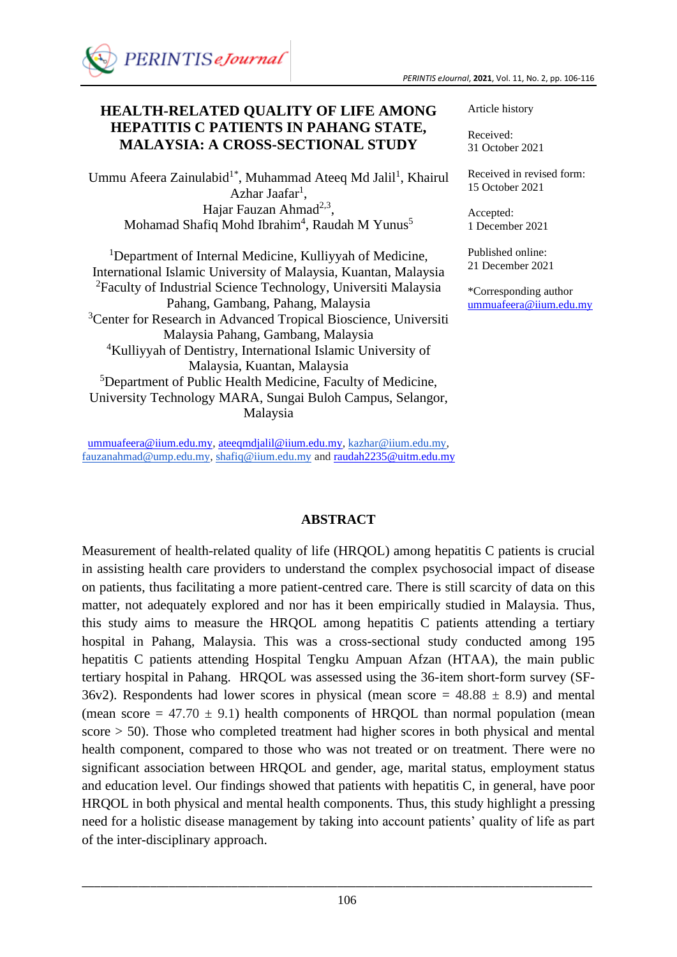# **HEALTH-RELATED QUALITY OF LIFE AMONG HEPATITIS C PATIENTS IN PAHANG STATE, MALAYSIA: A CROSS-SECTIONAL STUDY**

Ummu Afeera Zainulabid<sup>1</sup>\*, Muhammad Ateeq Md Jalil<sup>1</sup>, Khairul Azhar Jaafar<sup>1</sup>, Hajar Fauzan Ahmad<sup>2,3</sup>, Mohamad Shafiq Mohd Ibrahim<sup>4</sup>, Raudah M Yunus<sup>5</sup>

<sup>1</sup>Department of Internal Medicine, Kulliyyah of Medicine, International Islamic University of Malaysia, Kuantan, Malaysia <sup>2</sup>Faculty of Industrial Science Technology, Universiti Malaysia Pahang, Gambang, Pahang, Malaysia <sup>3</sup>Center for Research in Advanced Tropical Bioscience, Universiti Malaysia Pahang, Gambang, Malaysia <sup>4</sup>Kulliyyah of Dentistry, International Islamic University of Malaysia, Kuantan, Malaysia <sup>5</sup>Department of Public Health Medicine, Faculty of Medicine, University Technology MARA, Sungai Buloh Campus, Selangor, Malaysia

[ummuafeera@iium.edu.my,](mailto:ummuafeera@iium.edu.my) [ateeqmdjalil@iium.edu.my,](mailto:ateeqmdjalil@iium.edu.my) [kazhar@iium.edu.my,](mailto:kazhar@iium.edu.my) [fauzanahmad@ump.edu.my,](mailto:fauzanahmad@ump.edu.my) [shafiq@iium.edu.my](mailto:shafiq@iium.edu.my) and [raudah2235@uitm.edu.my](mailto:raudah2235@uitm.edu.my)

Article history

Received: 31 October 2021

Received in revised form: 15 October 2021

Accepted: 1 December 2021

Published online: 21 December 2021

\*Corresponding author [ummuafeera@iium.edu.my](mailto:ummuafeera@iium.edu.my)

### **ABSTRACT**

Measurement of health-related quality of life (HRQOL) among hepatitis C patients is crucial in assisting health care providers to understand the complex psychosocial impact of disease on patients, thus facilitating a more patient-centred care. There is still scarcity of data on this matter, not adequately explored and nor has it been empirically studied in Malaysia. Thus, this study aims to measure the HRQOL among hepatitis C patients attending a tertiary hospital in Pahang, Malaysia. This was a cross-sectional study conducted among 195 hepatitis C patients attending Hospital Tengku Ampuan Afzan (HTAA), the main public tertiary hospital in Pahang. HRQOL was assessed using the 36-item short-form survey (SF-36v2). Respondents had lower scores in physical (mean score  $= 48.88 \pm 8.9$ ) and mental (mean score =  $47.70 \pm 9.1$ ) health components of HRQOL than normal population (mean  $\text{score} > 50$ ). Those who completed treatment had higher scores in both physical and mental health component, compared to those who was not treated or on treatment. There were no significant association between HRQOL and gender, age, marital status, employment status and education level. Our findings showed that patients with hepatitis C, in general, have poor HRQOL in both physical and mental health components. Thus, this study highlight a pressing need for a holistic disease management by taking into account patients' quality of life as part of the inter-disciplinary approach.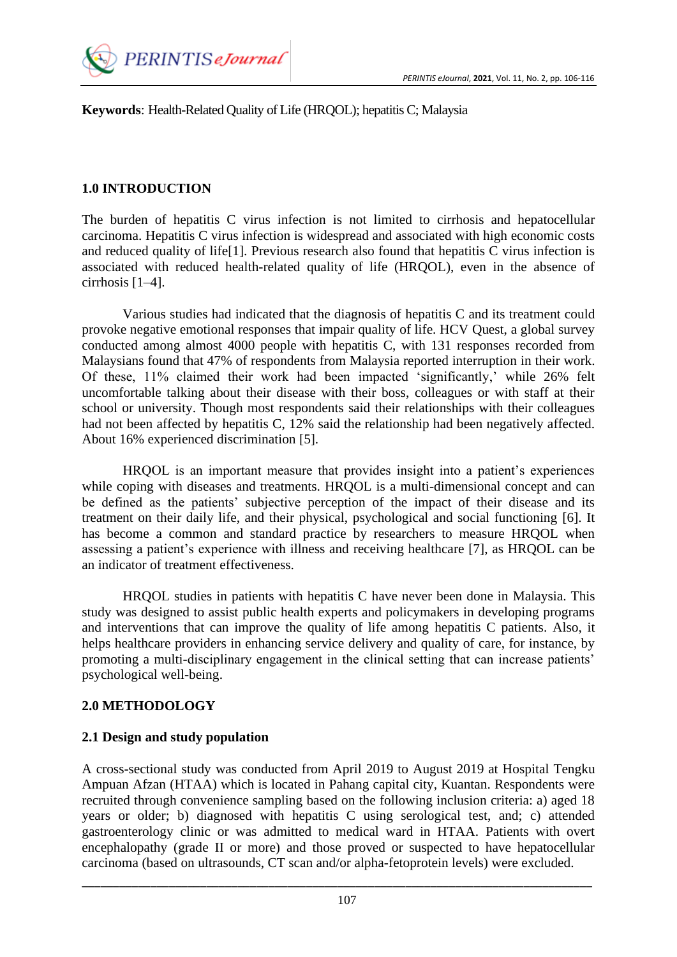

**Keywords**: Health-Related Quality of Life (HRQOL); hepatitis C; Malaysia

# **1.0 INTRODUCTION**

The burden of hepatitis C virus infection is not limited to cirrhosis and hepatocellular carcinoma. Hepatitis C virus infection is widespread and associated with high economic costs and reduced quality of life[1]. Previous research also found that hepatitis C virus infection is associated with reduced health-related quality of life (HRQOL), even in the absence of cirrhosis [1–4].

Various studies had indicated that the diagnosis of hepatitis C and its treatment could provoke negative emotional responses that impair quality of life. HCV Quest, a global survey conducted among almost 4000 people with hepatitis C, with 131 responses recorded from Malaysians found that 47% of respondents from Malaysia reported interruption in their work. Of these, 11% claimed their work had been impacted 'significantly,' while 26% felt uncomfortable talking about their disease with their boss, colleagues or with staff at their school or university. Though most respondents said their relationships with their colleagues had not been affected by hepatitis C, 12% said the relationship had been negatively affected. About 16% experienced discrimination [5].

HRQOL is an important measure that provides insight into a patient's experiences while coping with diseases and treatments. HRQOL is a multi-dimensional concept and can be defined as the patients' subjective perception of the impact of their disease and its treatment on their daily life, and their physical, psychological and social functioning [6]. It has become a common and standard practice by researchers to measure HRQOL when assessing a patient's experience with illness and receiving healthcare [7], as HRQOL can be an indicator of treatment effectiveness.

HRQOL studies in patients with hepatitis C have never been done in Malaysia. This study was designed to assist public health experts and policymakers in developing programs and interventions that can improve the quality of life among hepatitis C patients. Also, it helps healthcare providers in enhancing service delivery and quality of care, for instance, by promoting a multi-disciplinary engagement in the clinical setting that can increase patients' psychological well-being.

### **2.0 METHODOLOGY**

# **2.1 Design and study population**

A cross-sectional study was conducted from April 2019 to August 2019 at Hospital Tengku Ampuan Afzan (HTAA) which is located in Pahang capital city, Kuantan. Respondents were recruited through convenience sampling based on the following inclusion criteria: a) aged 18 years or older; b) diagnosed with hepatitis C using serological test, and; c) attended gastroenterology clinic or was admitted to medical ward in HTAA. Patients with overt encephalopathy (grade II or more) and those proved or suspected to have hepatocellular carcinoma (based on ultrasounds, CT scan and/or alpha-fetoprotein levels) were excluded.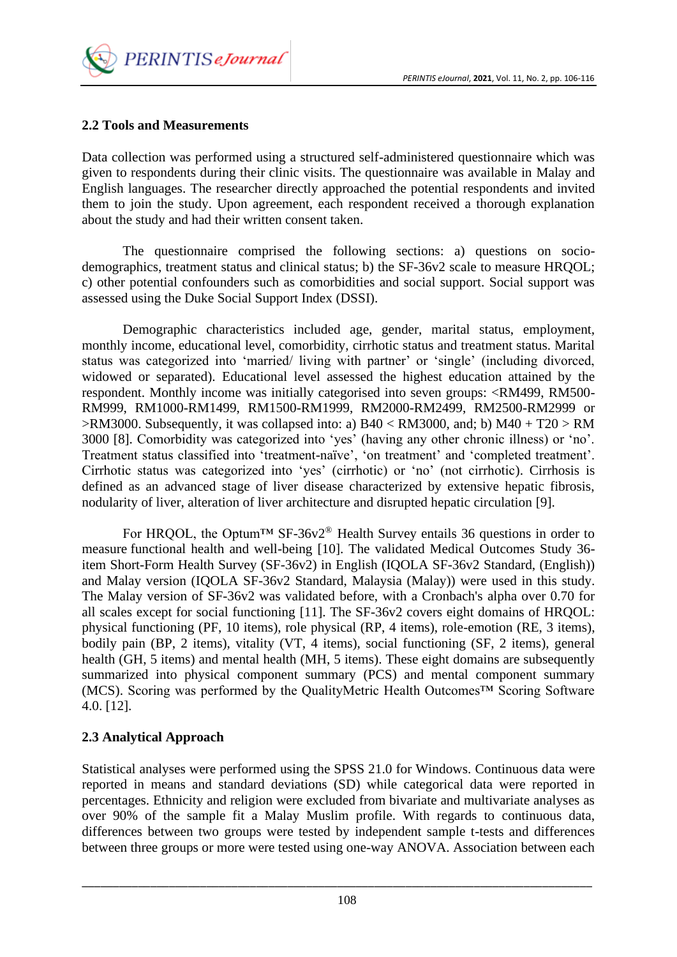*PERINTIS eJournal*, **2021**, Vol. 11, No. 2, pp. 106-116



## **2.2 Tools and Measurements**

Data collection was performed using a structured self-administered questionnaire which was given to respondents during their clinic visits. The questionnaire was available in Malay and English languages. The researcher directly approached the potential respondents and invited them to join the study. Upon agreement, each respondent received a thorough explanation about the study and had their written consent taken.

The questionnaire comprised the following sections: a) questions on sociodemographics, treatment status and clinical status; b) the SF-36v2 scale to measure HRQOL; c) other potential confounders such as comorbidities and social support. Social support was assessed using the Duke Social Support Index (DSSI).

Demographic characteristics included age, gender, marital status, employment, monthly income, educational level, comorbidity, cirrhotic status and treatment status. Marital status was categorized into 'married/ living with partner' or 'single' (including divorced, widowed or separated). Educational level assessed the highest education attained by the respondent. Monthly income was initially categorised into seven groups: <RM499, RM500- RM999, RM1000-RM1499, RM1500-RM1999, RM2000-RM2499, RM2500-RM2999 or  $>$ RM3000. Subsequently, it was collapsed into: a) B40 < RM3000, and; b) M40 + T20  $>$  RM 3000 [8]. Comorbidity was categorized into 'yes' (having any other chronic illness) or 'no'. Treatment status classified into 'treatment-naïve', 'on treatment' and 'completed treatment'. Cirrhotic status was categorized into 'yes' (cirrhotic) or 'no' (not cirrhotic). Cirrhosis is defined as an advanced stage of liver disease characterized by extensive hepatic fibrosis, nodularity of liver, alteration of liver architecture and disrupted hepatic circulation [9].

For HROOL, the Optum<sup>TM</sup> SF-36v2<sup>®</sup> Health Survey entails 36 questions in order to measure functional health and well-being [10]. The validated Medical Outcomes Study 36 item Short-Form Health Survey (SF-36v2) in English (IQOLA SF-36v2 Standard, (English)) and Malay version (IQOLA SF-36v2 Standard, Malaysia (Malay)) were used in this study. The Malay version of SF-36v2 was validated before, with a Cronbach's alpha over 0.70 for all scales except for social functioning [11]. The SF-36v2 covers eight domains of HRQOL: physical functioning (PF, 10 items), role physical (RP, 4 items), role-emotion (RE, 3 items), bodily pain (BP, 2 items), vitality (VT, 4 items), social functioning (SF, 2 items), general health (GH, 5 items) and mental health (MH, 5 items). These eight domains are subsequently summarized into physical component summary (PCS) and mental component summary (MCS). Scoring was performed by the QualityMetric Health Outcomes™ Scoring Software 4.0. [12].

# **2.3 Analytical Approach**

Statistical analyses were performed using the SPSS 21.0 for Windows. Continuous data were reported in means and standard deviations (SD) while categorical data were reported in percentages. Ethnicity and religion were excluded from bivariate and multivariate analyses as over 90% of the sample fit a Malay Muslim profile. With regards to continuous data, differences between two groups were tested by independent sample t-tests and differences between three groups or more were tested using one-way ANOVA. Association between each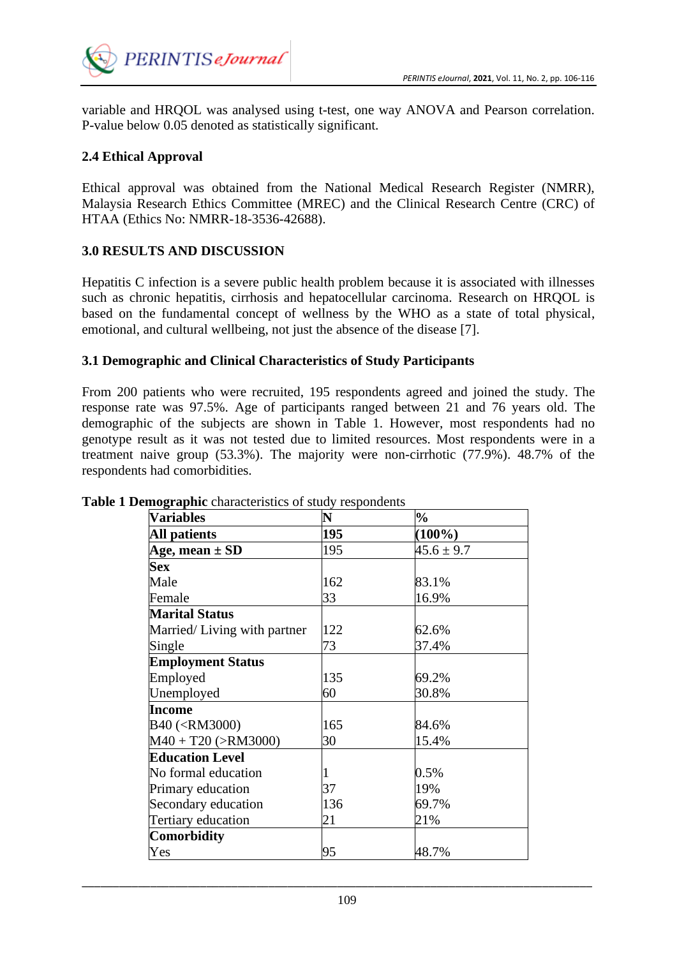

variable and HRQOL was analysed using t-test, one way ANOVA and Pearson correlation. P-value below 0.05 denoted as statistically significant.

### **2.4 Ethical Approval**

Ethical approval was obtained from the National Medical Research Register (NMRR), Malaysia Research Ethics Committee (MREC) and the Clinical Research Centre (CRC) of HTAA (Ethics No: NMRR-18-3536-42688).

#### **3.0 RESULTS AND DISCUSSION**

Hepatitis C infection is a severe public health problem because it is associated with illnesses such as chronic hepatitis, cirrhosis and hepatocellular carcinoma. Research on HRQOL is based on the fundamental concept of wellness by the WHO as a state of total physical, emotional, and cultural wellbeing, not just the absence of the disease [7].

#### **3.1 Demographic and Clinical Characteristics of Study Participants**

From 200 patients who were recruited, 195 respondents agreed and joined the study. The response rate was 97.5%. Age of participants ranged between 21 and 76 years old. The demographic of the subjects are shown in Table 1. However, most respondents had no genotype result as it was not tested due to limited resources. Most respondents were in a treatment naive group (53.3%). The majority were non-cirrhotic (77.9%). 48.7% of the respondents had comorbidities.

| <b>Variables</b>                                            | N   | $\frac{0}{0}$  |
|-------------------------------------------------------------|-----|----------------|
| <b>All patients</b>                                         | 195 | $(100\%)$      |
| Age, mean $\pm$ SD                                          | 195 | $45.6 \pm 9.7$ |
| <b>Sex</b>                                                  |     |                |
| Male                                                        | 162 | 83.1%          |
| Female                                                      | 33  | 16.9%          |
| <b>Marital Status</b>                                       |     |                |
| Married/Living with partner                                 | 122 | 62.6%          |
| Single                                                      | 73  | 37.4%          |
| <b>Employment Status</b>                                    |     |                |
| Employed                                                    | 135 | 69.2%          |
| Unemployed                                                  | 60  | 30.8%          |
| Income                                                      |     |                |
| B40 ( <rm3000)< td=""><td>165</td><td>84.6%</td></rm3000)<> | 165 | 84.6%          |
| $M40 + T20$ (>RM3000)                                       | 30  | 15.4%          |
| <b>Education Level</b>                                      |     |                |
| No formal education                                         |     | 0.5%           |
| Primary education                                           | 37  | 19%            |
| Secondary education                                         | 136 | 69.7%          |
| Tertiary education                                          | 21  | 21%            |
| Comorbidity                                                 |     |                |
| Yes                                                         | 95  | 48.7%          |

#### **Table 1 Demographic** characteristics of study respondents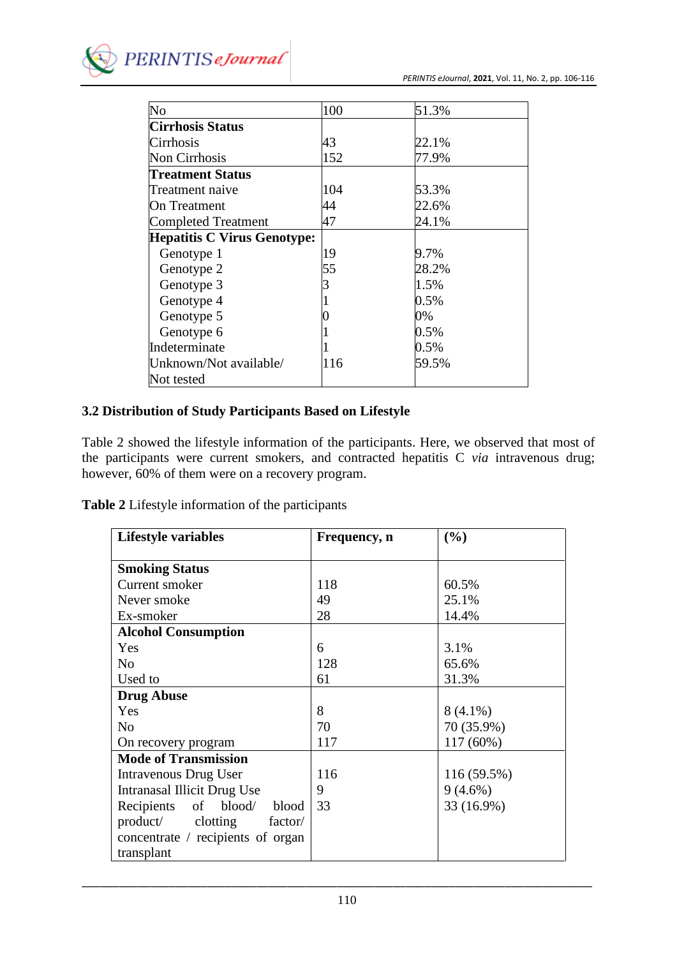

| $\overline{\text{No}}$             | 100 | 51.3% |
|------------------------------------|-----|-------|
| <b>Cirrhosis Status</b>            |     |       |
| Cirrhosis                          | 43  | 22.1% |
| Non Cirrhosis                      | 152 | 77.9% |
| Treatment Status                   |     |       |
| Treatment naive                    | 104 | 53.3% |
| On Treatment                       | 44  | 22.6% |
| <b>Completed Treatment</b>         | 47  | 24.1% |
| <b>Hepatitis C Virus Genotype:</b> |     |       |
| Genotype 1                         | 19  | 9.7%  |
| Genotype 2                         | 55  | 28.2% |
| Genotype 3                         |     | 1.5%  |
| Genotype 4                         |     | 0.5%  |
| Genotype 5                         |     | 0%    |
| Genotype 6                         |     | 0.5%  |
| Indeterminate                      |     | 0.5%  |
| Unknown/Not available/             | 116 | 59.5% |
| Not tested                         |     |       |

## **3.2 Distribution of Study Participants Based on Lifestyle**

Table 2 showed the lifestyle information of the participants. Here, we observed that most of the participants were current smokers, and contracted hepatitis C *via* intravenous drug; however, 60% of them were on a recovery program.

|  |  |  |  | Table 2 Lifestyle information of the participants |
|--|--|--|--|---------------------------------------------------|
|--|--|--|--|---------------------------------------------------|

| <b>Lifestyle variables</b>          | Frequency, n | (%)         |
|-------------------------------------|--------------|-------------|
|                                     |              |             |
| <b>Smoking Status</b>               |              |             |
| Current smoker                      | 118          | 60.5%       |
| Never smoke                         | 49           | 25.1%       |
| Ex-smoker                           | 28           | 14.4%       |
| <b>Alcohol Consumption</b>          |              |             |
| Yes                                 | 6            | 3.1%        |
| N <sub>o</sub>                      | 128          | 65.6%       |
| Used to                             | 61           | 31.3%       |
| <b>Drug Abuse</b>                   |              |             |
| Yes                                 | 8            | $8(4.1\%)$  |
| N <sub>o</sub>                      | 70           | 70 (35.9%)  |
| On recovery program                 | 117          | $117(60\%)$ |
| <b>Mode of Transmission</b>         |              |             |
| Intravenous Drug User               | 116          | 116 (59.5%) |
| Intranasal Illicit Drug Use         | 9            | $9(4.6\%)$  |
| of<br>blood/<br>blood<br>Recipients | 33           | 33 (16.9%)  |
| product/ clotting<br>factor/        |              |             |
| concentrate / recipients of organ   |              |             |
| transplant                          |              |             |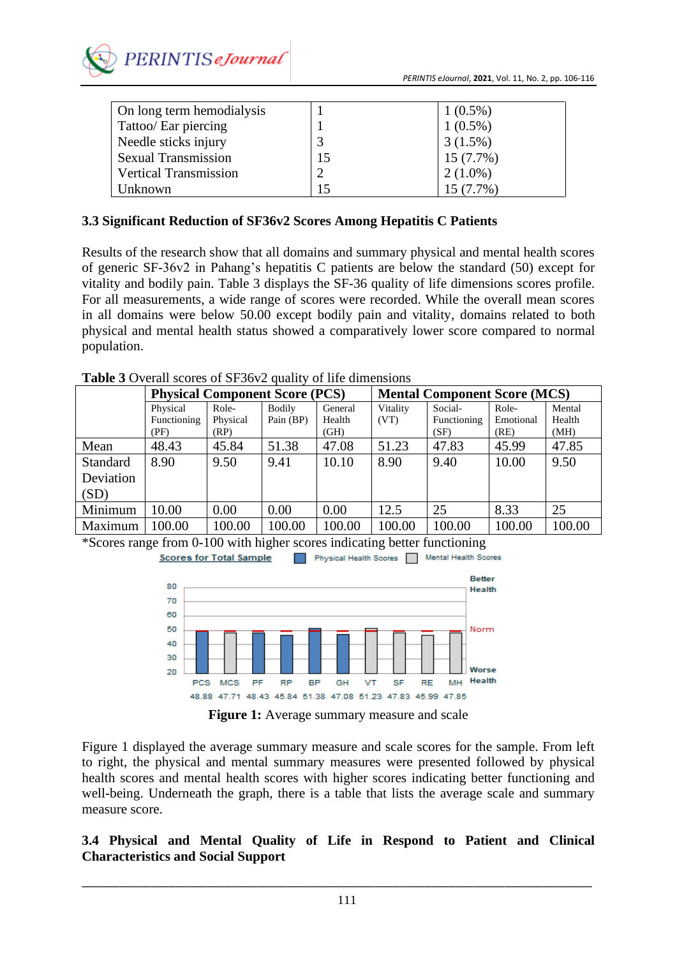

| On long term hemodialysis    |    | $1(0.5\%)$  |
|------------------------------|----|-------------|
| Tattoo/ Ear piercing         |    | $1(0.5\%)$  |
| Needle sticks injury         |    | $3(1.5\%)$  |
| <b>Sexual Transmission</b>   | 15 | $15(7.7\%)$ |
| <b>Vertical Transmission</b> |    | $2(1.0\%)$  |
| Unknown                      |    | $15(7.7\%)$ |

### **3.3 Significant Reduction of SF36v2 Scores Among Hepatitis C Patients**

Results of the research show that all domains and summary physical and mental health scores of generic SF-36v2 in Pahang's hepatitis C patients are below the standard (50) except for vitality and bodily pain. Table 3 displays the SF-36 quality of life dimensions scores profile. For all measurements, a wide range of scores were recorded. While the overall mean scores in all domains were below 50.00 except bodily pain and vitality, domains related to both physical and mental health status showed a comparatively lower score compared to normal population.

**Table 3** Overall scores of SF36v2 quality of life dimensions

|                 | <b>Physical Component Score (PCS)</b> |          | <b>Mental Component Score (MCS)</b> |         |          |             |           |        |
|-----------------|---------------------------------------|----------|-------------------------------------|---------|----------|-------------|-----------|--------|
|                 | Physical                              | Role-    | <b>Bodily</b>                       | General | Vitality | Social-     | Role-     | Mental |
|                 | Functioning                           | Physical | Pain (BP)                           | Health  | (VT)     | Functioning | Emotional | Health |
|                 | (PF)                                  | (RP)     |                                     | (GH)    |          | (SF)        | (RE)      | (MH)   |
| Mean            | 48.43                                 | 45.84    | 51.38                               | 47.08   | 51.23    | 47.83       | 45.99     | 47.85  |
| <b>Standard</b> | 8.90                                  | 9.50     | 9.41                                | 10.10   | 8.90     | 9.40        | 10.00     | 9.50   |
| Deviation       |                                       |          |                                     |         |          |             |           |        |
| (SD)            |                                       |          |                                     |         |          |             |           |        |
| Minimum         | 10.00                                 | 0.00     | 0.00                                | 0.00    | 12.5     | 25          | 8.33      | 25     |
| Maximum         | 100.00                                | 100.00   | 100.00                              | 100.00  | 100.00   | 100.00      | 100.00    | 100.00 |

\*Scores range from 0-100 with higher scores indicating better functioning





**Figure 1:** Average summary measure and scale

Figure 1 displayed the average summary measure and scale scores for the sample. From left to right, the physical and mental summary measures were presented followed by physical health scores and mental health scores with higher scores indicating better functioning and well-being. Underneath the graph, there is a table that lists the average scale and summary measure score.

### **3.4 Physical and Mental Quality of Life in Respond to Patient and Clinical Characteristics and Social Support**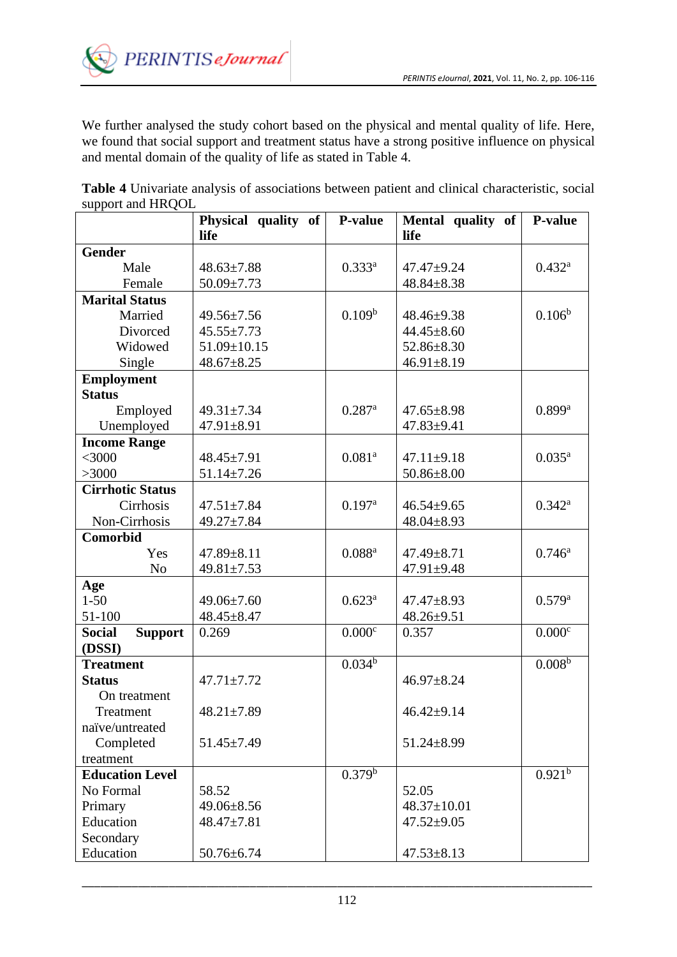

We further analysed the study cohort based on the physical and mental quality of life. Here, we found that social support and treatment status have a strong positive influence on physical and mental domain of the quality of life as stated in Table 4.

**Table 4** Univariate analysis of associations between patient and clinical characteristic, social support and HRQOL

|                                 | Physical quality of<br>life | P-value              | Mental quality of<br>life | <b>P-value</b>       |
|---------------------------------|-----------------------------|----------------------|---------------------------|----------------------|
| <b>Gender</b>                   |                             |                      |                           |                      |
| Male                            | $48.63 \pm 7.88$            | $0.333^{a}$          | $47.47 + 9.24$            | $0.432^{\rm a}$      |
| Female                          | $50.09 \pm 7.73$            |                      | $48.84 \pm 8.38$          |                      |
| <b>Marital Status</b>           |                             |                      |                           |                      |
| Married                         | $49.56 \pm 7.56$            | 0.109 <sup>b</sup>   | $48.46 \pm 9.38$          | $0.106^{b}$          |
| Divorced                        | $45.55 \pm 7.73$            |                      | $44.45 \pm 8.60$          |                      |
| Widowed                         | 51.09±10.15                 |                      | $52.86 \pm 8.30$          |                      |
| Single                          | $48.67 \pm 8.25$            |                      | $46.91 \pm 8.19$          |                      |
| <b>Employment</b>               |                             |                      |                           |                      |
| <b>Status</b>                   |                             |                      |                           |                      |
| Employed                        | $49.31 \pm 7.34$            | $0.287$ <sup>a</sup> | $47.65 \pm 8.98$          | $0.899$ <sup>a</sup> |
| Unemployed                      | 47.91±8.91                  |                      | $47.83 \pm 9.41$          |                      |
| <b>Income Range</b>             |                             |                      |                           |                      |
| $<$ 3000                        | $48.45 \pm 7.91$            | 0.081 <sup>a</sup>   | $47.11 \pm 9.18$          | $0.035^{a}$          |
| >3000                           | $51.14 \pm 7.26$            |                      | $50.86 \pm 8.00$          |                      |
| <b>Cirrhotic Status</b>         |                             |                      |                           |                      |
| Cirrhosis                       | $47.51 \pm 7.84$            | 0.197 <sup>a</sup>   | $46.54 \pm 9.65$          | $0.342^{\rm a}$      |
| Non-Cirrhosis                   | 49.27±7.84                  |                      | $48.04 \pm 8.93$          |                      |
| Comorbid                        |                             |                      |                           |                      |
| Yes                             | $47.89 \pm 8.11$            | $0.088^{a}$          | $47.49 \pm 8.71$          | $0.746^{\rm a}$      |
| N <sub>o</sub>                  | $49.81 \pm 7.53$            |                      | 47.91±9.48                |                      |
| Age                             |                             |                      |                           |                      |
| $1 - 50$                        | $49.06 \pm 7.60$            | $0.623^{\rm a}$      | 47.47±8.93                | $0.579^{a}$          |
| 51-100                          | $48.45 \pm 8.47$            |                      | $48.26 \pm 9.51$          |                      |
| <b>Social</b><br><b>Support</b> | 0.269                       | 0.000c               | 0.357                     | 0.000c               |
| (DSSI)                          |                             |                      |                           |                      |
| <b>Treatment</b>                |                             | 0.034 <sup>b</sup>   |                           | $0.008^{b}$          |
| <b>Status</b>                   | $47.71 \pm 7.72$            |                      | $46.97 \pm 8.24$          |                      |
| On treatment                    |                             |                      |                           |                      |
| Treatment                       | $48.21 \pm 7.89$            |                      | $46.42 \pm 9.14$          |                      |
| naïve/untreated                 |                             |                      |                           |                      |
| Completed                       | $51.45 \pm 7.49$            |                      | $51.24 \pm 8.99$          |                      |
| treatment                       |                             |                      |                           |                      |
| <b>Education Level</b>          |                             | 0.379 <sup>b</sup>   |                           | 0.921 <sup>b</sup>   |
| No Formal                       | 58.52                       |                      | 52.05                     |                      |
| Primary                         | $49.06 \pm 8.56$            |                      | 48.37±10.01               |                      |
| Education                       | 48.47±7.81                  |                      | $47.52 \pm 9.05$          |                      |
| Secondary                       |                             |                      |                           |                      |
| Education                       | $50.76 \pm 6.74$            |                      | $47.53 \pm 8.13$          |                      |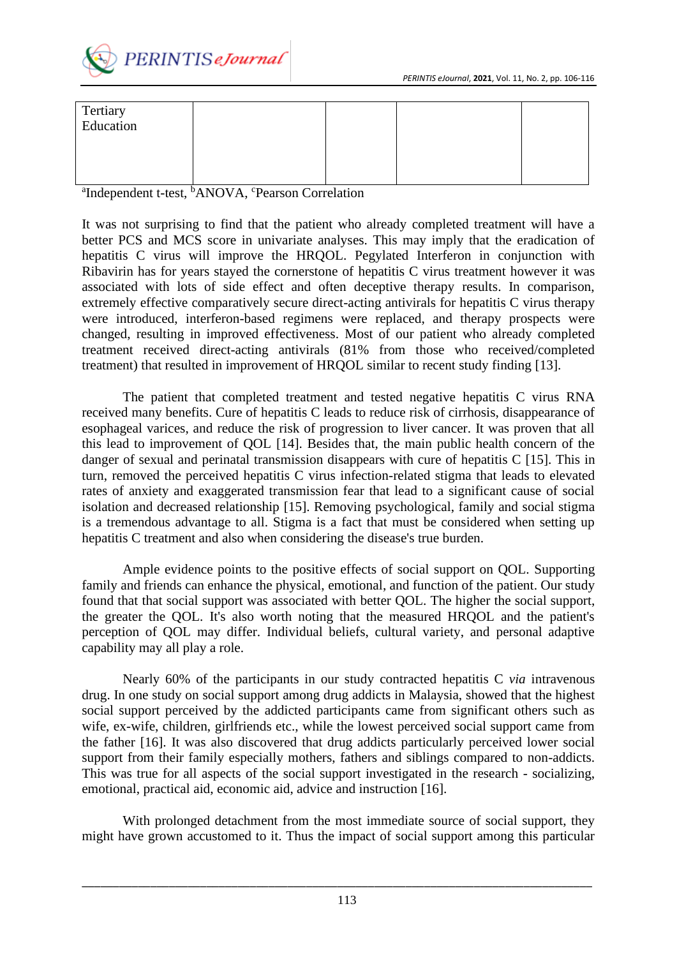

| Tertiary<br>Education |  |  |
|-----------------------|--|--|
|                       |  |  |
|                       |  |  |

<sup>a</sup>Independent t-test, <sup>b</sup>ANOVA, <sup>c</sup>Pearson Correlation

It was not surprising to find that the patient who already completed treatment will have a better PCS and MCS score in univariate analyses. This may imply that the eradication of hepatitis C virus will improve the HRQOL. Pegylated Interferon in conjunction with Ribavirin has for years stayed the cornerstone of hepatitis C virus treatment however it was associated with lots of side effect and often deceptive therapy results. In comparison, extremely effective comparatively secure direct-acting antivirals for hepatitis C virus therapy were introduced, interferon-based regimens were replaced, and therapy prospects were changed, resulting in improved effectiveness. Most of our patient who already completed treatment received direct-acting antivirals (81% from those who received/completed treatment) that resulted in improvement of HRQOL similar to recent study finding [13].

The patient that completed treatment and tested negative hepatitis C virus RNA received many benefits. Cure of hepatitis C leads to reduce risk of cirrhosis, disappearance of esophageal varices, and reduce the risk of progression to liver cancer. It was proven that all this lead to improvement of QOL [14]. Besides that, the main public health concern of the danger of sexual and perinatal transmission disappears with cure of hepatitis C [15]. This in turn, removed the perceived hepatitis C virus infection-related stigma that leads to elevated rates of anxiety and exaggerated transmission fear that lead to a significant cause of social isolation and decreased relationship [15]. Removing psychological, family and social stigma is a tremendous advantage to all. Stigma is a fact that must be considered when setting up hepatitis C treatment and also when considering the disease's true burden.

Ample evidence points to the positive effects of social support on QOL. Supporting family and friends can enhance the physical, emotional, and function of the patient. Our study found that that social support was associated with better QOL. The higher the social support, the greater the QOL. It's also worth noting that the measured HRQOL and the patient's perception of QOL may differ. Individual beliefs, cultural variety, and personal adaptive capability may all play a role.

Nearly 60% of the participants in our study contracted hepatitis C *via* intravenous drug. In one study on social support among drug addicts in Malaysia, showed that the highest social support perceived by the addicted participants came from significant others such as wife, ex-wife, children, girlfriends etc., while the lowest perceived social support came from the father [16]. It was also discovered that drug addicts particularly perceived lower social support from their family especially mothers, fathers and siblings compared to non-addicts. This was true for all aspects of the social support investigated in the research - socializing, emotional, practical aid, economic aid, advice and instruction [16].

With prolonged detachment from the most immediate source of social support, they might have grown accustomed to it. Thus the impact of social support among this particular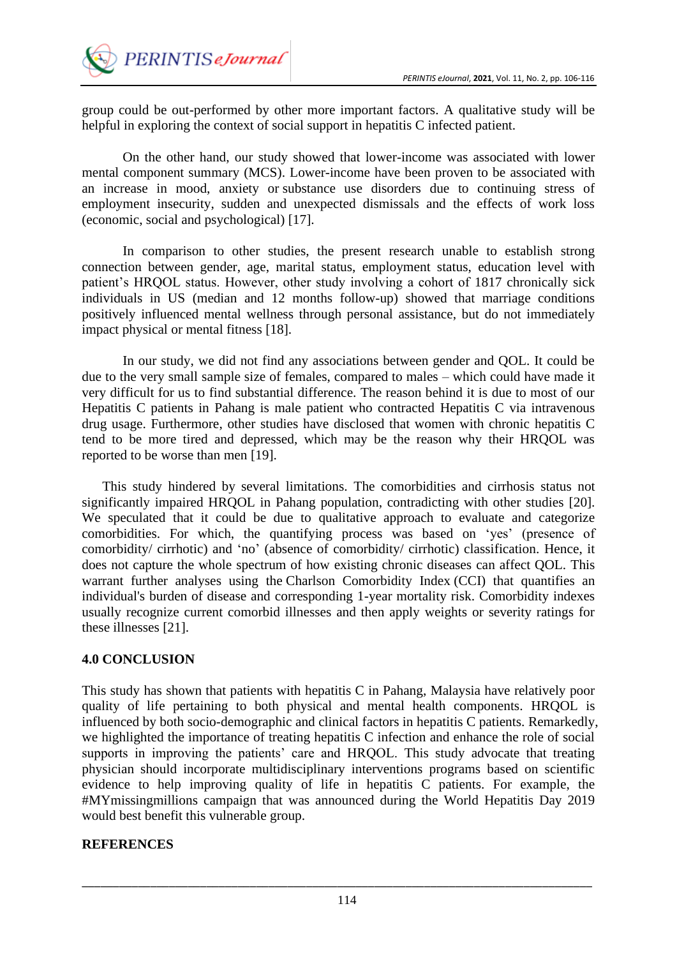

group could be out-performed by other more important factors. A qualitative study will be helpful in exploring the context of social support in hepatitis C infected patient.

On the other hand, our study showed that lower-income was associated with lower mental component summary (MCS). Lower-income have been proven to be associated with an increase in mood, anxiety or substance use disorders due to continuing stress of employment insecurity, sudden and unexpected dismissals and the effects of work loss (economic, social and psychological) [17].

In comparison to other studies, the present research unable to establish strong connection between gender, age, marital status, employment status, education level with patient's HRQOL status. However, other study involving a cohort of 1817 chronically sick individuals in US (median and 12 months follow-up) showed that marriage conditions positively influenced mental wellness through personal assistance, but do not immediately impact physical or mental fitness [18].

In our study, we did not find any associations between gender and QOL. It could be due to the very small sample size of females, compared to males – which could have made it very difficult for us to find substantial difference. The reason behind it is due to most of our Hepatitis C patients in Pahang is male patient who contracted Hepatitis C via intravenous drug usage. Furthermore, other studies have disclosed that women with chronic hepatitis C tend to be more tired and depressed, which may be the reason why their HRQOL was reported to be worse than men [19].

This study hindered by several limitations. The comorbidities and cirrhosis status not significantly impaired HRQOL in Pahang population, contradicting with other studies [20]. We speculated that it could be due to qualitative approach to evaluate and categorize comorbidities. For which, the quantifying process was based on 'yes' (presence of comorbidity/ cirrhotic) and 'no' (absence of comorbidity/ cirrhotic) classification. Hence, it does not capture the whole spectrum of how existing chronic diseases can affect QOL. This warrant further analyses using the Charlson Comorbidity Index (CCI) that quantifies an individual's burden of disease and corresponding 1-year mortality risk. Comorbidity indexes usually recognize current comorbid illnesses and then apply weights or severity ratings for these illnesses [21].

## **4.0 CONCLUSION**

This study has shown that patients with hepatitis C in Pahang, Malaysia have relatively poor quality of life pertaining to both physical and mental health components. HRQOL is influenced by both socio-demographic and clinical factors in hepatitis C patients. Remarkedly, we highlighted the importance of treating hepatitis C infection and enhance the role of social supports in improving the patients' care and HRQOL. This study advocate that treating physician should incorporate multidisciplinary interventions programs based on scientific evidence to help improving quality of life in hepatitis C patients. For example, the #MYmissingmillions campaign that was announced during the World Hepatitis Day 2019 would best benefit this vulnerable group.

### **REFERENCES**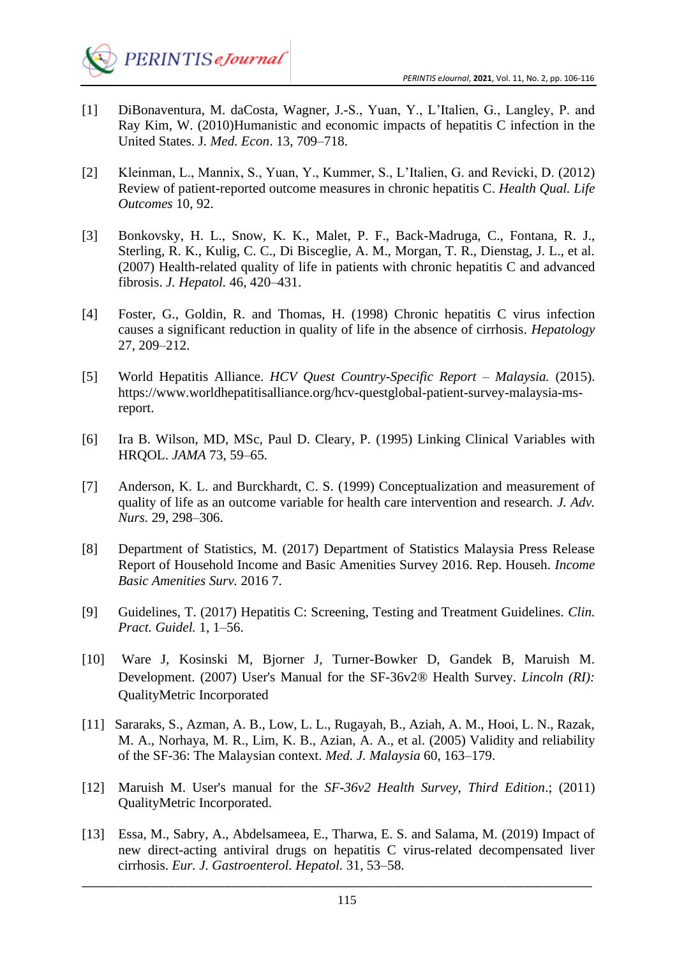

- [1] DiBonaventura, M. daCosta, Wagner, J.-S., Yuan, Y., L'Italien, G., Langley, P. and Ray Kim, W. (2010)Humanistic and economic impacts of hepatitis C infection in the United States. J*. Med. Econ*. 13, 709–718.
- [2] Kleinman, L., Mannix, S., Yuan, Y., Kummer, S., L'Italien, G. and Revicki, D. (2012) Review of patient-reported outcome measures in chronic hepatitis C. *Health Qual. Life Outcomes* 10, 92.
- [3] Bonkovsky, H. L., Snow, K. K., Malet, P. F., Back-Madruga, C., Fontana, R. J., Sterling, R. K., Kulig, C. C., Di Bisceglie, A. M., Morgan, T. R., Dienstag, J. L., et al. (2007) Health-related quality of life in patients with chronic hepatitis C and advanced fibrosis. *J. Hepatol.* 46, 420–431.
- [4] Foster, G., Goldin, R. and Thomas, H. (1998) Chronic hepatitis C virus infection causes a significant reduction in quality of life in the absence of cirrhosis. *Hepatology* 27, 209–212.
- [5] World Hepatitis Alliance. *HCV Quest Country-Specific Report – Malaysia.* (2015). https://www.worldhepatitisalliance.org/hcv-questglobal-patient-survey-malaysia-msreport.
- [6] Ira B. Wilson, MD, MSc, Paul D. Cleary, P. (1995) Linking Clinical Variables with HRQOL. *JAMA* 73, 59–65.
- [7] Anderson, K. L. and Burckhardt, C. S. (1999) Conceptualization and measurement of quality of life as an outcome variable for health care intervention and research. *J. Adv. Nurs.* 29, 298–306.
- [8] Department of Statistics, M. (2017) Department of Statistics Malaysia Press Release Report of Household Income and Basic Amenities Survey 2016. Rep. Househ. *Income Basic Amenities Surv.* 2016 7.
- [9] Guidelines, T. (2017) Hepatitis C: Screening, Testing and Treatment Guidelines. *Clin. Pract. Guidel.* 1, 1–56.
- [10] Ware J, Kosinski M, Bjorner J, Turner-Bowker D, Gandek B, Maruish M. Development. (2007) User's Manual for the SF-36v2® Health Survey. *Lincoln (RI):*  QualityMetric Incorporated
- [11] Sararaks, S., Azman, A. B., Low, L. L., Rugayah, B., Aziah, A. M., Hooi, L. N., Razak, M. A., Norhaya, M. R., Lim, K. B., Azian, A. A., et al. (2005) Validity and reliability of the SF-36: The Malaysian context. *Med. J. Malaysia* 60, 163–179.
- [12] Maruish M. User's manual for the *SF-36v2 Health Survey, Third Edition*.; (2011) QualityMetric Incorporated.
- [13] Essa, M., Sabry, A., Abdelsameea, E., Tharwa, E. S. and Salama, M. (2019) Impact of new direct-acting antiviral drugs on hepatitis C virus-related decompensated liver cirrhosis. *Eur. J. Gastroenterol. Hepatol.* 31, 53–58.